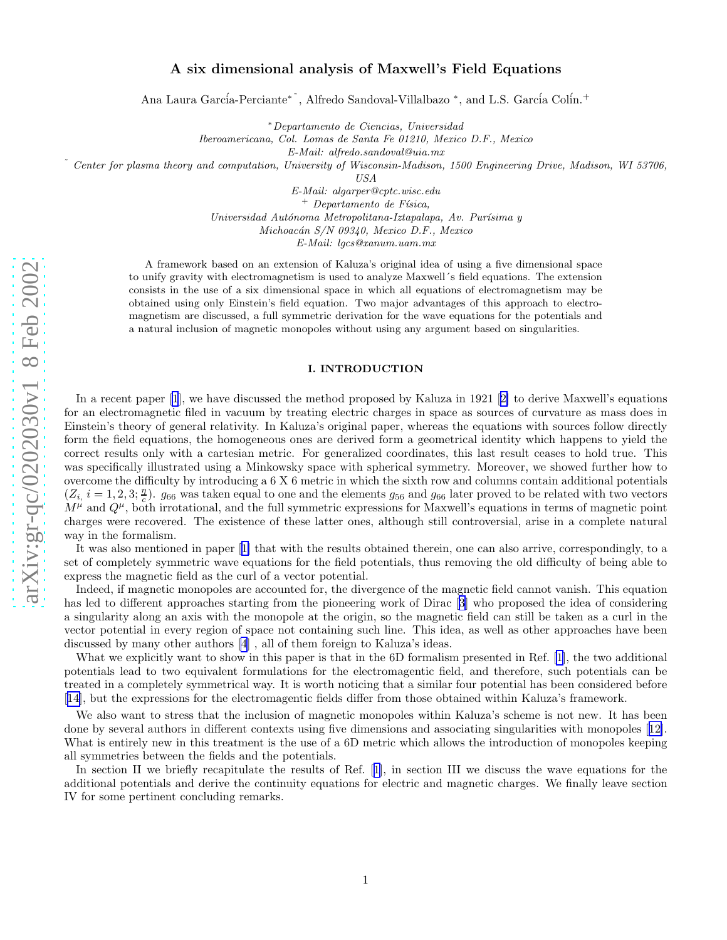# A six dimensional analysis of Maxwell's Field Equations

Ana Laura García-Perciante<sup>\*</sup>, Alfredo Sandoval-Villalbazo<sup>\*</sup>, and L.S. García Colín.<sup>+</sup>

<sup>∗</sup>*Departamento de Ciencias, Universidad*

*Iberoamericana, Col. Lomas de Santa Fe 01210, Mexico D.F., Mexico*

*E-Mail: alfredo.sandoval@uia.mx*

˜ *Center for plasma theory and computation, University of Wisconsin-Madison, 1500 Engineering Drive, Madison, WI 53706 ,*

*USA*

*E-Mail: algarper@cptc.wisc.edu*

<sup>+</sup> *Departamento de F´ısica,*

*Universidad Aut´onoma Metropolitana-Iztapalapa, Av. Pur´ısima y*

*Michoac´an S/N 09340, Mexico D.F., Mexico*

*E-Mail: lgcs@xanum.uam.mx*

A framework based on an extension of Kaluza's original idea of using a five dimensional space to unify gravity with electromagnetism is used to analyze Maxwell´s field equations. The extension consists in the use of a six dimensional space in which all equations of electromagnetism may be obtained using only Einstein's field equation. Two major advantages of this approach to electromagnetism are discussed, a full symmetric derivation for the wave equations for the potentials and a natural inclusion of magnetic monopoles without using any argument based on singularities.

#### I. INTRODUCTION

In a recent paper [\[1](#page-7-0)], we have discussed the method proposed by Kaluza in 1921[[2\]](#page-7-0) to derive Maxwell's equations for an electromagnetic filed in vacuum by treating electric charges in space as sources of curvature as mass does in Einstein's theory of general relativity. In Kaluza's original paper, whereas the equations with sources follow directly form the field equations, the homogeneous ones are derived form a geometrical identity which happens to yield the correct results only with a cartesian metric. For generalized coordinates, this last result ceases to hold true. This was specifically illustrated using a Minkowsky space with spherical symmetry. Moreover, we showed further how to overcome the difficulty by introducing a 6 X 6 metric in which the sixth row and columns contain additional potentials  $(Z_i, i = 1, 2, 3; \frac{n}{c})$ .  $g_{66}$  was taken equal to one and the elements  $g_{56}$  and  $g_{66}$  later proved to be related with two vectors  $M^{\mu}$  and  $Q^{\mu}$ , both irrotational, and the full symmetric expressions for Maxwell's equations in terms of magnetic point charges were recovered. The existence of these latter ones, although still controversial, arise in a complete natural way in the formalism.

It was also mentioned in paper[[1\]](#page-7-0) that with the results obtained therein, one can also arrive, correspondingly, to a set of completely symmetric wave equations for the field potentials, thus removing the old difficulty of being able to express the magnetic field as the curl of a vector potential.

Indeed, if magnetic monopoles are accounted for, the divergence of the magnetic field cannot vanish. This equation has led to different approaches starting from the pioneering work of Dirac[[3\]](#page-7-0) who proposed the idea of considering a singularity along an axis with the monopole at the origin, so the magnetic field can still be taken as a curl in the vector potential in every region of space not containing such line. This idea, as well as other approaches have been discussed by many other authors [\[4](#page-7-0)] , all of them foreign to Kaluza's ideas.

What we explicitly want to show in this paper is that in the 6D formalism presented in Ref. [\[1](#page-7-0)], the two additional potentials lead to two equivalent formulations for the electromagentic field, and therefore, such potentials can be treated in a completely symmetrical way. It is worth noticing that a similar four potential has been considered before [[14\]](#page-7-0), but the expressions for the electromagentic fields differ from those obtained within Kaluza's framework.

We also want to stress that the inclusion of magnetic monopoles within Kaluza's scheme is not new. It has been done by several authors in different contexts using five dimensions and associating singularities with monopoles[[12\]](#page-7-0). What is entirely new in this treatment is the use of a 6D metric which allows the introduction of monopoles keeping all symmetries between the fields and the potentials.

Insection II we briefly recapitulate the results of Ref. [[1\]](#page-7-0), in section III we discuss the wave equations for the additional potentials and derive the continuity equations for electric and magnetic charges. We finally leave section IV for some pertinent concluding remarks.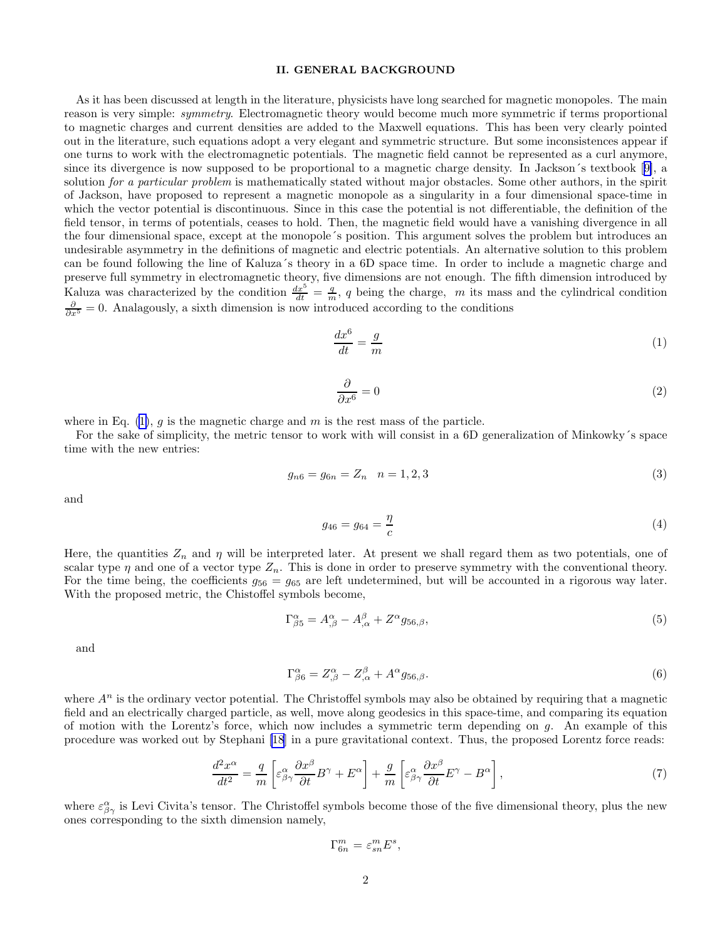## II. GENERAL BACKGROUND

<span id="page-1-0"></span>As it has been discussed at length in the literature, physicists have long searched for magnetic monopoles. The main reason is very simple: symmetry. Electromagnetic theory would become much more symmetric if terms proportional to magnetic charges and current densities are added to the Maxwell equations. This has been very clearly pointed out in the literature, such equations adopt a very elegant and symmetric structure. But some inconsistences appear if one turns to work with the electromagnetic potentials. The magnetic field cannot be represented as a curl anymore, since its divergence is now supposed to be proportional to a magnetic charge density. In Jackson´s textbook[[9\]](#page-7-0), a solution for a particular problem is mathematically stated without major obstacles. Some other authors, in the spirit of Jackson, have proposed to represent a magnetic monopole as a singularity in a four dimensional space-time in which the vector potential is discontinuous. Since in this case the potential is not differentiable, the definition of the field tensor, in terms of potentials, ceases to hold. Then, the magnetic field would have a vanishing divergence in all the four dimensional space, except at the monopole´s position. This argument solves the problem but introduces an undesirable asymmetry in the definitions of magnetic and electric potentials. An alternative solution to this problem can be found following the line of Kaluza´s theory in a 6D space time. In order to include a magnetic charge and preserve full symmetry in electromagnetic theory, five dimensions are not enough. The fifth dimension introduced by Kaluza was characterized by the condition  $\frac{dx^5}{dt} = \frac{q}{m}$ , q being the charge, m its mass and the cylindrical condition  $\frac{\partial}{\partial x^5} = 0$ . Analagously, a sixth dimension is now introduced according to the conditions

$$
\frac{dx^6}{dt} = \frac{g}{m} \tag{1}
$$

$$
\frac{\partial}{\partial x^6} = 0 \tag{2}
$$

where in Eq.  $(1)$ , q is the magnetic charge and m is the rest mass of the particle.

For the sake of simplicity, the metric tensor to work with will consist in a 6D generalization of Minkowky´s space time with the new entries:

$$
g_{n6} = g_{6n} = Z_n \quad n = 1, 2, 3 \tag{3}
$$

and

$$
g_{46} = g_{64} = \frac{\eta}{c} \tag{4}
$$

Here, the quantities  $Z_n$  and  $\eta$  will be interpreted later. At present we shall regard them as two potentials, one of scalar type  $\eta$  and one of a vector type  $Z_n$ . This is done in order to preserve symmetry with the conventional theory. For the time being, the coefficients  $g_{56} = g_{65}$  are left undetermined, but will be accounted in a rigorous way later. With the proposed metric, the Chistoffel symbols become,

$$
\Gamma^{\alpha}_{\beta 5} = A^{\alpha}_{,\beta} - A^{\beta}_{,\alpha} + Z^{\alpha} g_{56,\beta},\tag{5}
$$

and

$$
\Gamma^{\alpha}_{\beta 6} = Z^{\alpha}_{,\beta} - Z^{\beta}_{,\alpha} + A^{\alpha} g_{56,\beta}.
$$
\n
$$
(6)
$$

where  $A^n$  is the ordinary vector potential. The Christoffel symbols may also be obtained by requiring that a magnetic field and an electrically charged particle, as well, move along geodesics in this space-time, and comparing its equation of motion with the Lorentz's force, which now includes a symmetric term depending on  $q$ . An example of this procedure was worked out by Stephani [\[18](#page-7-0)] in a pure gravitational context. Thus, the proposed Lorentz force reads:

$$
\frac{d^2x^{\alpha}}{dt^2} = \frac{q}{m} \left[ \varepsilon^{\alpha}_{\beta\gamma} \frac{\partial x^{\beta}}{\partial t} B^{\gamma} + E^{\alpha} \right] + \frac{g}{m} \left[ \varepsilon^{\alpha}_{\beta\gamma} \frac{\partial x^{\beta}}{\partial t} E^{\gamma} - B^{\alpha} \right],\tag{7}
$$

where  $\varepsilon_{\beta\gamma}^{\alpha}$  is Levi Civita's tensor. The Christoffel symbols become those of the five dimensional theory, plus the new ones corresponding to the sixth dimension namely,

$$
\Gamma^m_{6n}=\varepsilon^m_{sn}E^s,
$$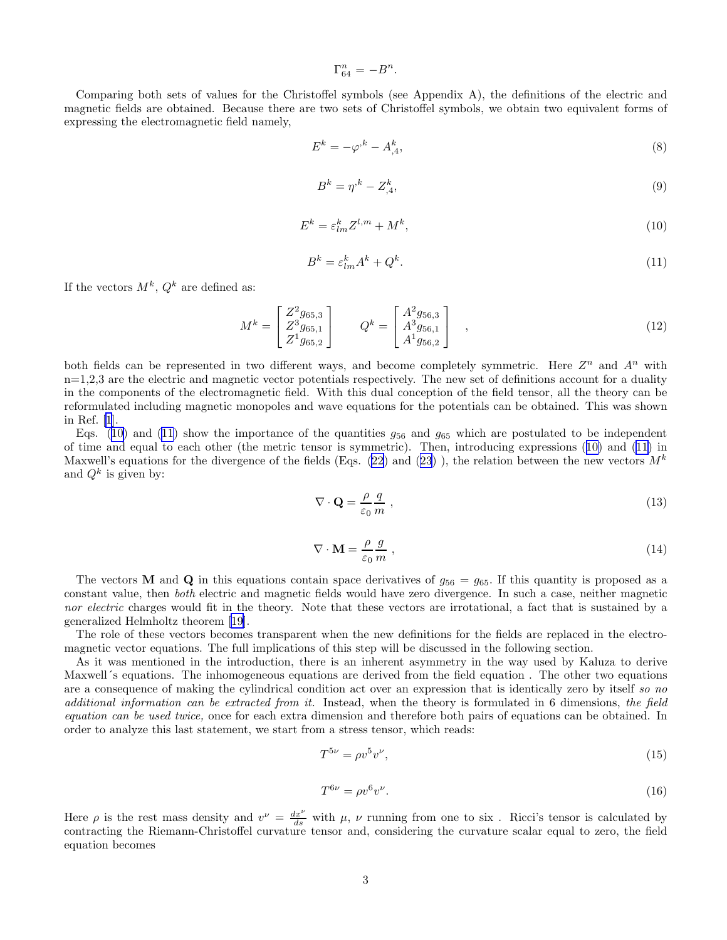$\Gamma_{64}^n = -B^n.$ 

<span id="page-2-0"></span>Comparing both sets of values for the Christoffel symbols (see Appendix A), the definitions of the electric and magnetic fields are obtained. Because there are two sets of Christoffel symbols, we obtain two equivalent forms of expressing the electromagnetic field namely,

$$
E^k = -\varphi^k - A^k_{,4},\tag{8}
$$

$$
B^k = \eta^k - Z^k_{,4},\tag{9}
$$

$$
E^k = \varepsilon_{lm}^k Z^{l,m} + M^k,\tag{10}
$$

$$
B^k = \varepsilon_{lm}^k A^k + Q^k. \tag{11}
$$

If the vectors  $M^k$ ,  $Q^k$  are defined as:

$$
M^{k} = \begin{bmatrix} Z^{2}g_{65,3} \\ Z^{3}g_{65,1} \\ Z^{1}g_{65,2} \end{bmatrix} \qquad Q^{k} = \begin{bmatrix} A^{2}g_{56,3} \\ A^{3}g_{56,1} \\ A^{1}g_{56,2} \end{bmatrix} ,
$$
\n(12)

both fields can be represented in two different ways, and become completely symmetric. Here  $Z^n$  and  $A^n$  with  $n=1,2,3$  are the electric and magnetic vector potentials respectively. The new set of definitions account for a duality in the components of the electromagnetic field. With this dual conception of the field tensor, all the theory can be reformulated including magnetic monopoles and wave equations for the potentials can be obtained. This was shown in Ref. [\[1](#page-7-0)].

Eqs. (10) and (11) show the importance of the quantities  $g_{56}$  and  $g_{65}$  which are postulated to be independent of time and equal to each other (the metric tensor is symmetric). Then, introducing expressions (10) and (11) in Maxwell's equations for the divergence of the fields (Eqs. [\(22](#page-3-0)) and [\(23](#page-3-0))), the relation between the new vectors  $M^k$ and  $Q^k$  is given by:

$$
\nabla \cdot \mathbf{Q} = \frac{\rho}{\varepsilon_0} \frac{q}{m} \,,\tag{13}
$$

$$
\nabla \cdot \mathbf{M} = \frac{\rho}{\varepsilon_0} \frac{g}{m} \,,\tag{14}
$$

The vectors **M** and **Q** in this equations contain space derivatives of  $g_{56} = g_{65}$ . If this quantity is proposed as a constant value, then both electric and magnetic fields would have zero divergence. In such a case, neither magnetic nor electric charges would fit in the theory. Note that these vectors are irrotational, a fact that is sustained by a generalized Helmholtz theorem[[19\]](#page-7-0).

The role of these vectors becomes transparent when the new definitions for the fields are replaced in the electromagnetic vector equations. The full implications of this step will be discussed in the following section.

As it was mentioned in the introduction, there is an inherent asymmetry in the way used by Kaluza to derive Maxwell´s equations. The inhomogeneous equations are derived from the field equation . The other two equations are a consequence of making the cylindrical condition act over an expression that is identically zero by itself so no additional information can be extracted from it. Instead, when the theory is formulated in 6 dimensions, the field equation can be used twice, once for each extra dimension and therefore both pairs of equations can be obtained. In order to analyze this last statement, we start from a stress tensor, which reads:

$$
T^{5\nu} = \rho v^5 v^{\nu},\tag{15}
$$

$$
T^{6\nu} = \rho v^6 v^{\nu}.
$$
\n(16)

Here  $\rho$  is the rest mass density and  $v^{\nu} = \frac{dx^{\nu}}{ds}$  with  $\mu$ ,  $\nu$  running from one to six. Ricci's tensor is calculated by contracting the Riemann-Christoffel curvature tensor and, considering the curvature scalar equal to zero, the field equation becomes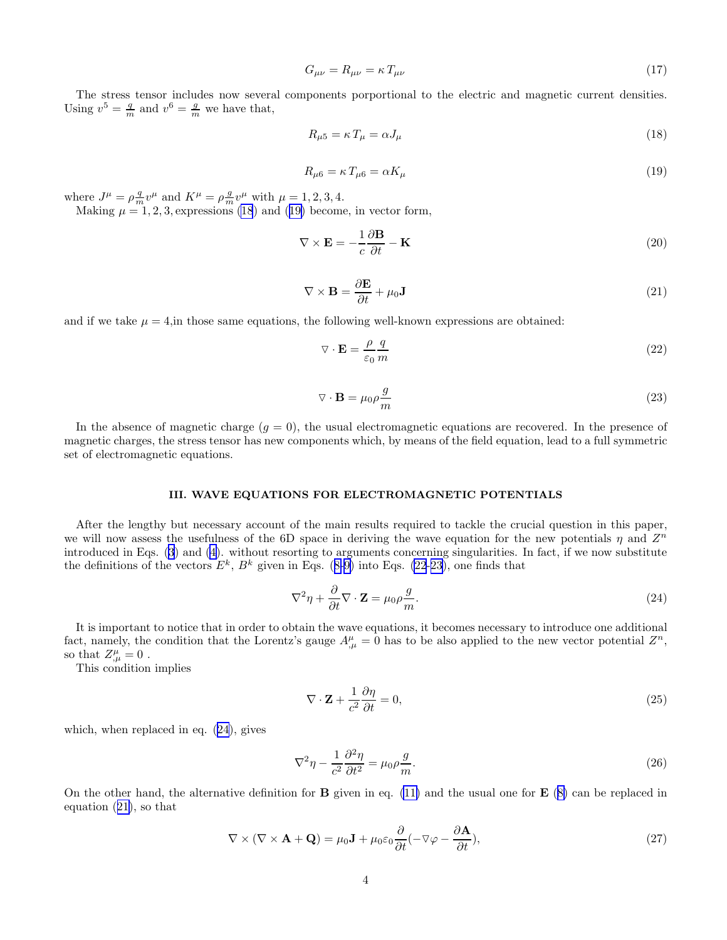$$
G_{\mu\nu} = R_{\mu\nu} = \kappa \, T_{\mu\nu} \tag{17}
$$

<span id="page-3-0"></span>The stress tensor includes now several components porportional to the electric and magnetic current densities. Using  $v^5 = \frac{q}{m}$  and  $v^6 = \frac{g}{m}$  we have that,

$$
R_{\mu 5} = \kappa T_{\mu} = \alpha J_{\mu} \tag{18}
$$

$$
R_{\mu 6} = \kappa \, T_{\mu 6} = \alpha K_{\mu} \tag{19}
$$

where  $J^{\mu} = \rho \frac{q}{m} v^{\mu}$  and  $K^{\mu} = \rho \frac{q}{m} v^{\mu}$  with  $\mu = 1, 2, 3, 4$ .

Making  $\mu = 1, 2, 3$ , expressions (18) and (19) become, in vector form,

$$
\nabla \times \mathbf{E} = -\frac{1}{c} \frac{\partial \mathbf{B}}{\partial t} - \mathbf{K}
$$
 (20)

$$
\nabla \times \mathbf{B} = \frac{\partial \mathbf{E}}{\partial t} + \mu_0 \mathbf{J}
$$
 (21)

and if we take  $\mu = 4$ , in those same equations, the following well-known expressions are obtained:

$$
\nabla \cdot \mathbf{E} = \frac{\rho}{\varepsilon_0} \frac{q}{m} \tag{22}
$$

$$
\nabla \cdot \mathbf{B} = \mu_0 \rho \frac{g}{m} \tag{23}
$$

In the absence of magnetic charge  $(q = 0)$ , the usual electromagnetic equations are recovered. In the presence of magnetic charges, the stress tensor has new components which, by means of the field equation, lead to a full symmetric set of electromagnetic equations.

#### III. WAVE EQUATIONS FOR ELECTROMAGNETIC POTENTIALS

After the lengthy but necessary account of the main results required to tackle the crucial question in this paper, we will now assess the usefulness of the 6D space in deriving the wave equation for the new potentials  $\eta$  and  $Z^n$ introduced in Eqs.([3\)](#page-1-0) and [\(4](#page-1-0)). without resorting to arguments concerning singularities. In fact, if we now substitute thedefinitions of the vectors  $E^k$ ,  $B^k$  given in Eqs. ([8-9\)](#page-2-0) into Eqs. (22-23), one finds that

$$
\nabla^2 \eta + \frac{\partial}{\partial t} \nabla \cdot \mathbf{Z} = \mu_0 \rho \frac{g}{m}.
$$
\n(24)

It is important to notice that in order to obtain the wave equations, it becomes necessary to introduce one additional fact, namely, the condition that the Lorentz's gauge  $A^{\mu}_{,\mu} = 0$  has to be also applied to the new vector potential  $Z^n$ , so that  $Z^{\mu}_{,\mu}=0$ .

This condition implies

$$
\nabla \cdot \mathbf{Z} + \frac{1}{c^2} \frac{\partial \eta}{\partial t} = 0,\tag{25}
$$

which, when replaced in eq. (24), gives

$$
\nabla^2 \eta - \frac{1}{c^2} \frac{\partial^2 \eta}{\partial t^2} = \mu_0 \rho \frac{g}{m}.
$$
\n(26)

On the other hand, the alternative definition for **B** given in eq. [\(11\)](#page-2-0) and the usual one for **E** ([8\)](#page-2-0) can be replaced in equation (21), so that

$$
\nabla \times (\nabla \times \mathbf{A} + \mathbf{Q}) = \mu_0 \mathbf{J} + \mu_0 \varepsilon_0 \frac{\partial}{\partial t} (-\nabla \varphi - \frac{\partial \mathbf{A}}{\partial t}),
$$
\n(27)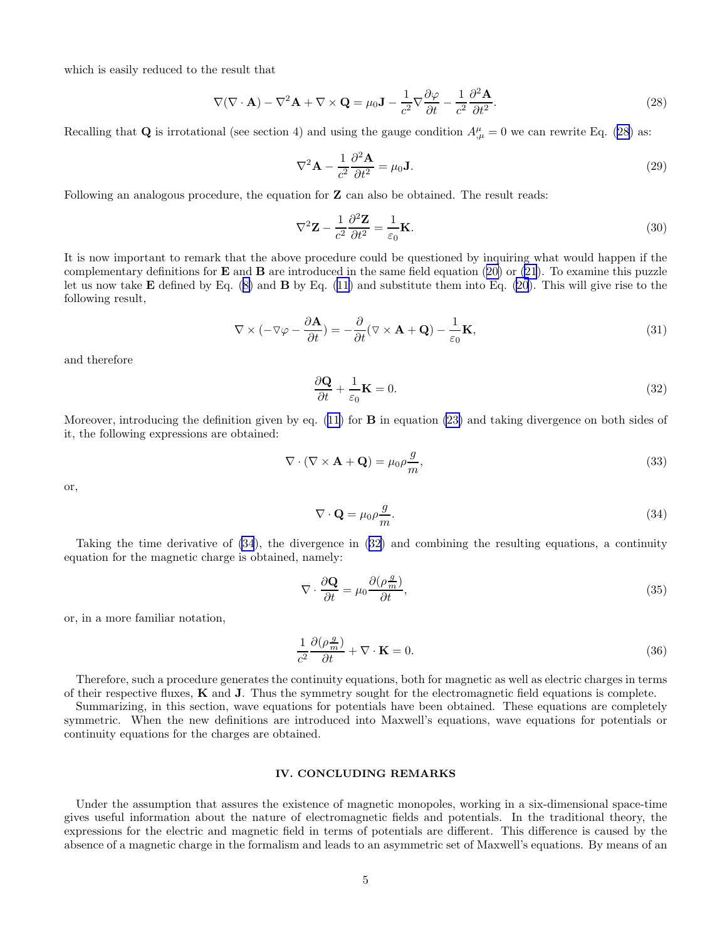which is easily reduced to the result that

$$
\nabla(\nabla \cdot \mathbf{A}) - \nabla^2 \mathbf{A} + \nabla \times \mathbf{Q} = \mu_0 \mathbf{J} - \frac{1}{c^2} \nabla \frac{\partial \varphi}{\partial t} - \frac{1}{c^2} \frac{\partial^2 \mathbf{A}}{\partial t^2}.
$$
 (28)

Recalling that **Q** is irrotational (see section 4) and using the gauge condition  $A^{\mu}_{,\mu} = 0$  we can rewrite Eq. (28) as:

$$
\nabla^2 \mathbf{A} - \frac{1}{c^2} \frac{\partial^2 \mathbf{A}}{\partial t^2} = \mu_0 \mathbf{J}.
$$
 (29)

Following an analogous procedure, the equation for **Z** can also be obtained. The result reads:

$$
\nabla^2 \mathbf{Z} - \frac{1}{c^2} \frac{\partial^2 \mathbf{Z}}{\partial t^2} = \frac{1}{\varepsilon_0} \mathbf{K}.
$$
 (30)

It is now important to remark that the above procedure could be questioned by inquiring what would happen if the complementarydefinitions for  $E$  and  $B$  are introduced in the same field equation ([20\)](#page-3-0) or [\(21](#page-3-0)). To examine this puzzle letus now take  $\bf{E}$  defined by Eq. ([8\)](#page-2-0) and  $\bf{B}$  by Eq. [\(11](#page-2-0)) and substitute them into Eq. [\(20](#page-3-0)). This will give rise to the following result,

$$
\nabla \times (-\nabla \varphi - \frac{\partial \mathbf{A}}{\partial t}) = -\frac{\partial}{\partial t} (\nabla \times \mathbf{A} + \mathbf{Q}) - \frac{1}{\varepsilon_0} \mathbf{K},\tag{31}
$$

and therefore

$$
\frac{\partial \mathbf{Q}}{\partial t} + \frac{1}{\varepsilon_0} \mathbf{K} = 0. \tag{32}
$$

Moreover, introducing the definition given by eq.  $(11)$  for **B** in equation  $(23)$  and taking divergence on both sides of it, the following expressions are obtained:

$$
\nabla \cdot (\nabla \times \mathbf{A} + \mathbf{Q}) = \mu_0 \rho \frac{g}{m},\tag{33}
$$

or,

$$
\nabla \cdot \mathbf{Q} = \mu_0 \rho \frac{g}{m}.\tag{34}
$$

Taking the time derivative of (34), the divergence in (32) and combining the resulting equations, a continuity equation for the magnetic charge is obtained, namely:

$$
\nabla \cdot \frac{\partial \mathbf{Q}}{\partial t} = \mu_0 \frac{\partial (\rho \frac{g}{m})}{\partial t},\tag{35}
$$

or, in a more familiar notation,

$$
\frac{1}{c^2} \frac{\partial(\rho \frac{g}{m})}{\partial t} + \nabla \cdot \mathbf{K} = 0.
$$
 (36)

Therefore, such a procedure generates the continuity equations, both for magnetic as well as electric charges in terms of their respective fluxes,  $K$  and  $J$ . Thus the symmetry sought for the electromagnetic field equations is complete.

Summarizing, in this section, wave equations for potentials have been obtained. These equations are completely symmetric. When the new definitions are introduced into Maxwell's equations, wave equations for potentials or continuity equations for the charges are obtained.

## IV. CONCLUDING REMARKS

Under the assumption that assures the existence of magnetic monopoles, working in a six-dimensional space-time gives useful information about the nature of electromagnetic fields and potentials. In the traditional theory, the expressions for the electric and magnetic field in terms of potentials are different. This difference is caused by the absence of a magnetic charge in the formalism and leads to an asymmetric set of Maxwell's equations. By means of an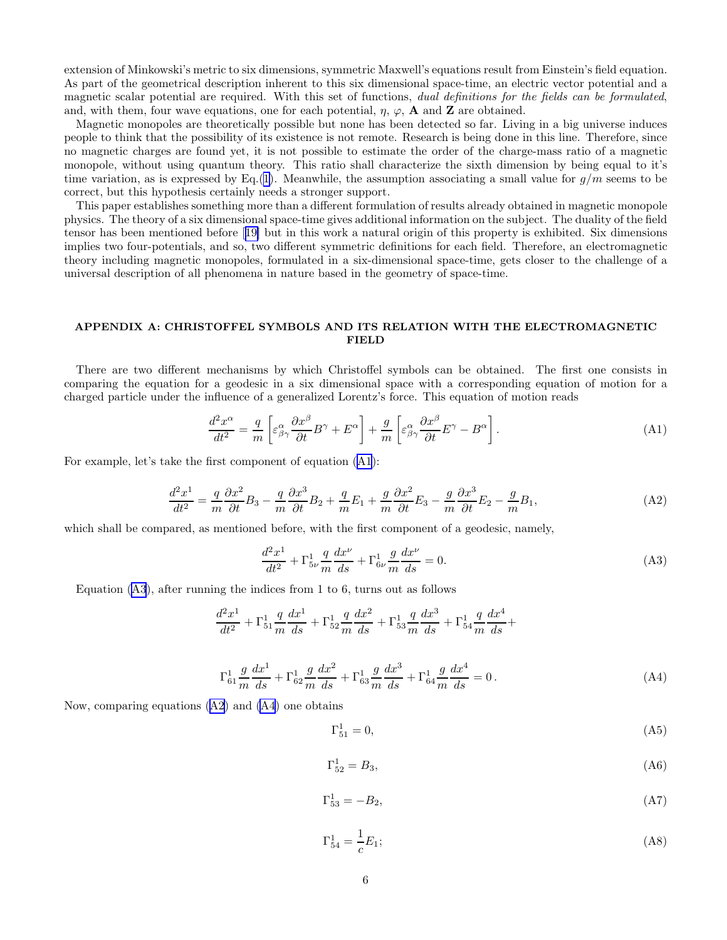<span id="page-5-0"></span>extension of Minkowski's metric to six dimensions, symmetric Maxwell's equations result from Einstein's field equation. As part of the geometrical description inherent to this six dimensional space-time, an electric vector potential and a magnetic scalar potential are required. With this set of functions, dual definitions for the fields can be formulated, and, with them, four wave equations, one for each potential,  $\eta$ ,  $\varphi$ , **A** and **Z** are obtained.

Magnetic monopoles are theoretically possible but none has been detected so far. Living in a big universe induces people to think that the possibility of its existence is not remote. Research is being done in this line. Therefore, since no magnetic charges are found yet, it is not possible to estimate the order of the charge-mass ratio of a magnetic monopole, without using quantum theory. This ratio shall characterize the sixth dimension by being equal to it's time variation, as is expressed by Eq.[\(1](#page-1-0)). Meanwhile, the assumption associating a small value for  $q/m$  seems to be correct, but this hypothesis certainly needs a stronger support.

This paper establishes something more than a different formulation of results already obtained in magnetic monopole physics. The theory of a six dimensional space-time gives additional information on the subject. The duality of the field tensor has been mentioned before[[19\]](#page-7-0) but in this work a natural origin of this property is exhibited. Six dimensions implies two four-potentials, and so, two different symmetric definitions for each field. Therefore, an electromagnetic theory including magnetic monopoles, formulated in a six-dimensional space-time, gets closer to the challenge of a universal description of all phenomena in nature based in the geometry of space-time.

# APPENDIX A: CHRISTOFFEL SYMBOLS AND ITS RELATION WITH THE ELECTROMAGNETIC **FIELD**

There are two different mechanisms by which Christoffel symbols can be obtained. The first one consists in comparing the equation for a geodesic in a six dimensional space with a corresponding equation of motion for a charged particle under the influence of a generalized Lorentz's force. This equation of motion reads

$$
\frac{d^2x^{\alpha}}{dt^2} = \frac{q}{m} \left[ \varepsilon^{\alpha}_{\beta\gamma} \frac{\partial x^{\beta}}{\partial t} B^{\gamma} + E^{\alpha} \right] + \frac{g}{m} \left[ \varepsilon^{\alpha}_{\beta\gamma} \frac{\partial x^{\beta}}{\partial t} E^{\gamma} - B^{\alpha} \right].
$$
 (A1)

For example, let's take the first component of equation (A1):

$$
\frac{d^2x^1}{dt^2} = \frac{q}{m}\frac{\partial x^2}{\partial t}B_3 - \frac{q}{m}\frac{\partial x^3}{\partial t}B_2 + \frac{q}{m}E_1 + \frac{g}{m}\frac{\partial x^2}{\partial t}E_3 - \frac{g}{m}\frac{\partial x^3}{\partial t}E_2 - \frac{g}{m}B_1,\tag{A2}
$$

which shall be compared, as mentioned before, with the first component of a geodesic, namely,

$$
\frac{d^2x^1}{dt^2} + \Gamma_{5\nu}^1 \frac{q}{m} \frac{dx^{\nu}}{ds} + \Gamma_{6\nu}^1 \frac{g}{m} \frac{dx^{\nu}}{ds} = 0.
$$
 (A3)

Equation  $(A3)$ , after running the indices from 1 to 6, turns out as follows

$$
\frac{d^2x^1}{dt^2} + \Gamma_{51}^1 \frac{q}{m} \frac{dx^1}{ds} + \Gamma_{52}^1 \frac{q}{m} \frac{dx^2}{ds} + \Gamma_{53}^1 \frac{q}{m} \frac{dx^3}{ds} + \Gamma_{54}^1 \frac{q}{m} \frac{dx^4}{ds} + \Gamma_{54}^1 \frac{q}{m} \frac{dx^4}{ds} + \Gamma_{54}^1 \frac{q}{m} \frac{dx^5}{ds} + \Gamma_{54}^1 \frac{q}{m} \frac{dx^6}{ds} + \Gamma_{54}^1 \frac{q}{m} \frac{dx^7}{ds} + \Gamma_{54}^2 \frac{q}{m} \frac{dx^8}{ds} + \Gamma_{54}^1 \frac{q}{m} \frac{dx^8}{ds} + \Gamma_{54}^2 \frac{q}{m} \frac{dx^7}{ds} + \Gamma_{55}^3 \frac{q}{m} \frac{dx^8}{ds} + \Gamma_{55}^4 \frac{q}{m} \frac{dx^8}{ds} + \Gamma_{56}^5 \frac{q}{m} \frac{dx^8}{ds} + \Gamma_{57}^5 \frac{q}{m} \frac{dx^8}{ds} + \Gamma_{58}^6 \frac{q}{m} \frac{dx^7}{ds} + \Gamma_{59}^7 \frac{q}{m} \frac{dx^8}{ds} + \Gamma_{59}^8 \frac{q}{m} \frac{dx^8}{ds} + \Gamma_{59}^8 \frac{q}{m} \frac{dx^8}{ds} + \Gamma_{50}^9 \frac{q}{m} \frac{dx^8}{ds} + \Gamma_{50}^8 \frac{q}{m} \frac{dx^7}{ds} + \Gamma_{50}^9 \frac{q}{m} \frac{dx^8}{ds} + \Gamma_{50}^8 \frac{q}{m} \frac{dx^8}{ds} + \Gamma_{50}^9 \frac{q}{m} \frac{dx^8}{ds} + \Gamma_{50}^4 \frac{q}{m} \frac{dx^6}{ds} + \Gamma_{50}^8 \frac{q}{m} \frac{dx^7}{ds} + \Gamma_{50}^8 \frac{q}{m} \frac{dx^8}{ds} + \Gamma_{50}^8 \frac{q}{m} \frac{dx^8}{ds} + \Gamma_{50}^8 \frac{q}{m} \frac{dx^7}{ds} + \Gamma_{50}^9 \frac{q}{m} \frac{dx^
$$

$$
\Gamma_{61}^{1} \frac{g}{m} \frac{dx^{1}}{ds} + \Gamma_{62}^{1} \frac{g}{m} \frac{dx^{2}}{ds} + \Gamma_{63}^{1} \frac{g}{m} \frac{dx^{3}}{ds} + \Gamma_{64}^{1} \frac{g}{m} \frac{dx^{4}}{ds} = 0.
$$
 (A4)

Now, comparing equations (A2) and (A4) one obtains

$$
\Gamma_{51}^1 = 0,\t\t(A5)
$$

$$
\Gamma_{52}^1 = B_3,\tag{A6}
$$

$$
\Gamma_{53}^1 = -B_2,\tag{A7}
$$

$$
\Gamma_{54}^1 = \frac{1}{c}E_1;
$$
\n(A8)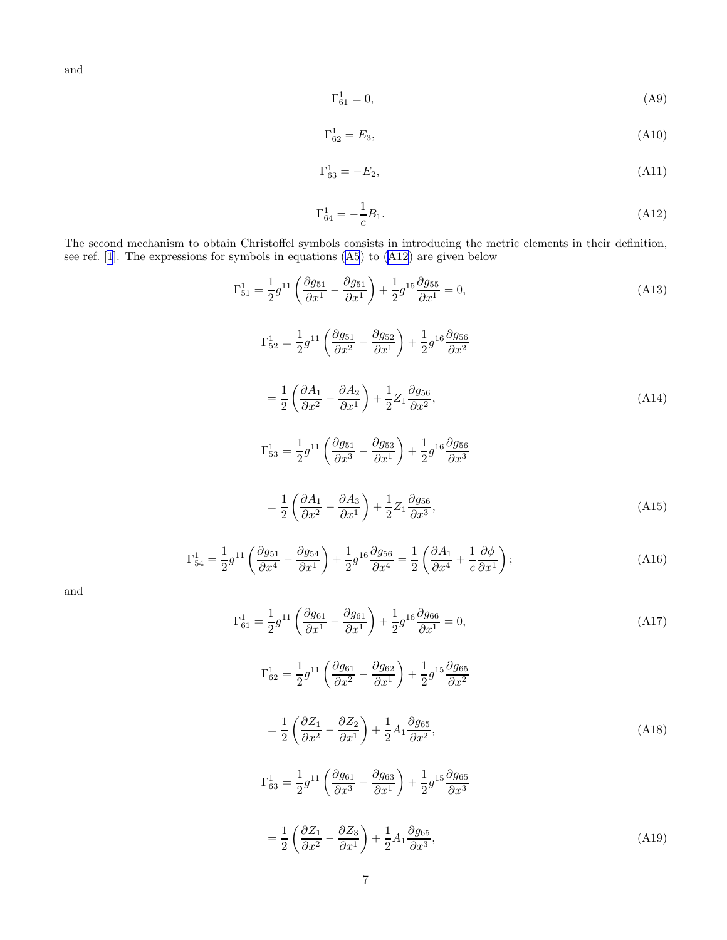<span id="page-6-0"></span>and

$$
\Gamma_{61}^1 = 0,\tag{A9}
$$

$$
\Gamma_{62}^1 = E_3,\tag{A10}
$$

$$
\Gamma_{63}^1 = -E_2,\tag{A11}
$$

$$
\Gamma_{64}^1 = -\frac{1}{c}B_1. \tag{A12}
$$

The second mechanism to obtain Christoffel symbols consists in introducing the metric elements in their definition, see ref. [\[1](#page-7-0)]. The expressions for symbols in equations [\(A5](#page-5-0)) to (A12) are given below

$$
\Gamma_{51}^{1} = \frac{1}{2} g^{11} \left( \frac{\partial g_{51}}{\partial x^{1}} - \frac{\partial g_{51}}{\partial x^{1}} \right) + \frac{1}{2} g^{15} \frac{\partial g_{55}}{\partial x^{1}} = 0,
$$
\n(A13)  
\n
$$
\Gamma_{52}^{1} = \frac{1}{2} g^{11} \left( \frac{\partial g_{51}}{\partial x^{2}} - \frac{\partial g_{52}}{\partial x^{1}} \right) + \frac{1}{2} g^{16} \frac{\partial g_{56}}{\partial x^{2}}
$$
\n
$$
= \frac{1}{2} \left( \frac{\partial A_{1}}{\partial x^{2}} - \frac{\partial A_{2}}{\partial x^{1}} \right) + \frac{1}{2} Z_{1} \frac{\partial g_{56}}{\partial x^{2}},
$$
\n(A14)  
\n
$$
\Gamma_{53}^{1} = \frac{1}{2} g^{11} \left( \frac{\partial g_{51}}{\partial x^{3}} - \frac{\partial g_{53}}{\partial x^{1}} \right) + \frac{1}{2} g^{16} \frac{\partial g_{56}}{\partial x^{3}}
$$
\n
$$
= \frac{1}{2} \left( \frac{\partial A_{1}}{\partial x^{2}} - \frac{\partial A_{3}}{\partial x^{1}} \right) + \frac{1}{2} Z_{1} \frac{\partial g_{56}}{\partial x^{3}},
$$
\n(A15)

$$
\Gamma_{54}^1 = \frac{1}{2} g^{11} \left( \frac{\partial g_{51}}{\partial x^4} - \frac{\partial g_{54}}{\partial x^1} \right) + \frac{1}{2} g^{16} \frac{\partial g_{56}}{\partial x^4} = \frac{1}{2} \left( \frac{\partial A_1}{\partial x^4} + \frac{1}{c} \frac{\partial \phi}{\partial x^1} \right);
$$
\n(A16)

and

$$
\Gamma_{61}^1 = \frac{1}{2} g^{11} \left( \frac{\partial g_{61}}{\partial x^1} - \frac{\partial g_{61}}{\partial x^1} \right) + \frac{1}{2} g^{16} \frac{\partial g_{66}}{\partial x^1} = 0, \tag{A17}
$$

$$
\Gamma_{62}^{1} = \frac{1}{2}g^{11}\left(\frac{\partial g_{61}}{\partial x^{2}} - \frac{\partial g_{62}}{\partial x^{1}}\right) + \frac{1}{2}g^{15}\frac{\partial g_{65}}{\partial x^{2}}
$$
\n
$$
= \frac{1}{2}\left(\frac{\partial Z_{1}}{\partial x^{2}} - \frac{\partial Z_{2}}{\partial x^{1}}\right) + \frac{1}{2}A_{1}\frac{\partial g_{65}}{\partial x^{2}},
$$
\n
$$
\Gamma_{63}^{1} = \frac{1}{2}g^{11}\left(\frac{\partial g_{61}}{\partial x^{3}} - \frac{\partial g_{63}}{\partial x^{1}}\right) + \frac{1}{2}g^{15}\frac{\partial g_{65}}{\partial x^{3}}
$$
\n
$$
= \frac{1}{2}\left(\frac{\partial Z_{1}}{\partial x^{2}} - \frac{\partial Z_{3}}{\partial x^{1}}\right) + \frac{1}{2}A_{1}\frac{\partial g_{65}}{\partial x^{3}},
$$
\n(A19)